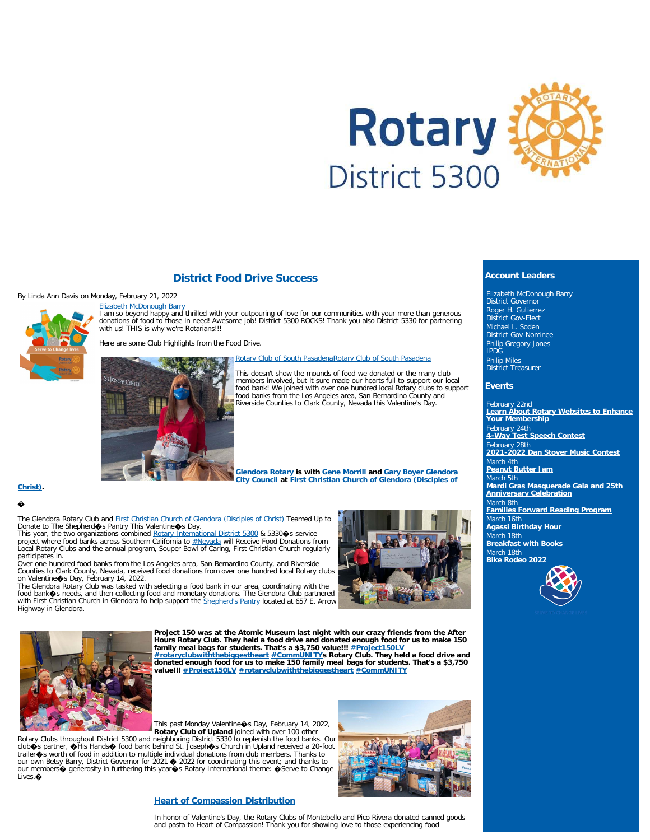

#### **District Food Drive Success**

#### By Linda Ann Davis on Monday, February 21, 2022



[Elizabeth McDonough Barry](https://www.facebook.com/elizabethmcdonough.barry?comment_id=Y29tbWVudDo0OTcwNDQxNDE2Mzc1NTc1XzQ5NzEzODI2NTYyODE0NTE%3D&__cft__[0]=AZXA8fnQ_8g3NH5HiWM3VBa8O5qqi0Ry3iFpmbdw4-YjWsey9JkTYENrnGpz1Grm8_asXKR8CZ7xb49qlM92lJYL7_KXOgzRvURFE0_t8oIbTAz052Ye-peg9P67qe1gHLnsJ5bUjwzFdikF8hsnHJcofHSsjE12J_Xx3AzpJS2k_o_SzhDGwCmUZ3kqoWfTeIk&__tn__=R]-R) I am so beyond happy and thrilled with your outpouring of love for our communities with your more than generous donations of food to those in need! Awesome job! District 5300 ROCKS! Thank you also District 5330 for partnering with us! THIS is why we're Rotarians!!!

Here are some Club Highlights from the Food Drive.

[Rotary Club of South Pasadena](https://www.facebook.com/groups/556361607759214/user/1575541292752448/?__cft__[0]=AZURtrf2nf5Hk_uBGH8WFUjGLTAL32xcRJ-gw5lKJBpHmpVWn8aouGdw7BwQAUqI0v_JP5nGg1UfuuIBclvEFp9jDbSFQJptOlSYg1lgcmRt7_5Hii-WhWQkFD9Y2COtejVwaE9ZDM83pVLQdmF_qQPznRR37wlboFDXe2owqhf0_Ye8I0yaqauQ-nIqcQJGU_fPwsxbg02q7vq1LZWbEVRq8u1ovUCiXejaAs_igupNMfUfTVix2gKXqiHjr1mmZSU&__tn__=-UC%2CP-y-R)[Rotary Club of South Pasadena](https://www.facebook.com/groups/556361607759214/?__cft__[0]=AZURtrf2nf5Hk_uBGH8WFUjGLTAL32xcRJ-gw5lKJBpHmpVWn8aouGdw7BwQAUqI0v_JP5nGg1UfuuIBclvEFp9jDbSFQJptOlSYg1lgcmRt7_5Hii-WhWQkFD9Y2COtejVwaE9ZDM83pVLQdmF_qQPznRR37wlboFDXe2owqhf0_Ye8I0yaqauQ-nIqcQJGU_fPwsxbg02q7vq1LZWbEVRq8u1ovUCiXejaAs_igupNMfUfTVix2gKXqiHjr1mmZSU&__tn__=-UC%2CP-y-R)



This doesn't show the mounds of food we donated or the many club members involved, but it sure made our hearts full to support our local food bank! We joined with over one hundred local Rotary clubs to support<br>food banks from the Los Angeles area, San Bernardino County and<br>Riverside Counties to Clark County, Nevada this Valentine's Day.

**[Glendora Rotary](https://www.facebook.com/glendorarotary/?__cft__[0]=AZWUl3GzWaW7Dnr5D3S_R3nJMhd1_JqMbCcF-La9SQX4ypvUn-T2wFd0tjJY9G80AfbnqFuf2WUQuRTp4yJ9oMSL2YS2T7vszTEq313V0jiCQXKUQ5HJQTlxYNsy3FaL0p1bG4I9zS89HgiTgtwIyAxrMAM6Wy_CmNPHFKW0eeHBKAkEDbnxdWqipDJSwEbh4iuI--KLUJLptB3_bcFvy4PXGJNXzg1uSqKVZTsXUcBPmXUoYHEGPeAtOKi_UDwPbZQ&__tn__=kC%2CP-y-R) is with [Gene Morrill](https://www.facebook.com/gene.morrill?__cft__[0]=AZWUl3GzWaW7Dnr5D3S_R3nJMhd1_JqMbCcF-La9SQX4ypvUn-T2wFd0tjJY9G80AfbnqFuf2WUQuRTp4yJ9oMSL2YS2T7vszTEq313V0jiCQXKUQ5HJQTlxYNsy3FaL0p1bG4I9zS89HgiTgtwIyAxrMAM6Wy_CmNPHFKW0eeHBKAkEDbnxdWqipDJSwEbh4iuI--KLUJLptB3_bcFvy4PXGJNXzg1uSqKVZTsXUcBPmXUoYHEGPeAtOKi_UDwPbZQ&__tn__=-]C%2CP-y-R) and [Gary Boyer Glendora](https://www.facebook.com/GaryBoyerCityCouncil?__cft__[0]=AZWUl3GzWaW7Dnr5D3S_R3nJMhd1_JqMbCcF-La9SQX4ypvUn-T2wFd0tjJY9G80AfbnqFuf2WUQuRTp4yJ9oMSL2YS2T7vszTEq313V0jiCQXKUQ5HJQTlxYNsy3FaL0p1bG4I9zS89HgiTgtwIyAxrMAM6Wy_CmNPHFKW0eeHBKAkEDbnxdWqipDJSwEbh4iuI--KLUJLptB3_bcFvy4PXGJNXzg1uSqKVZTsXUcBPmXUoYHEGPeAtOKi_UDwPbZQ&__tn__=-]C%2CP-y-R) [City Council](https://www.facebook.com/GaryBoyerCityCouncil?__cft__[0]=AZWUl3GzWaW7Dnr5D3S_R3nJMhd1_JqMbCcF-La9SQX4ypvUn-T2wFd0tjJY9G80AfbnqFuf2WUQuRTp4yJ9oMSL2YS2T7vszTEq313V0jiCQXKUQ5HJQTlxYNsy3FaL0p1bG4I9zS89HgiTgtwIyAxrMAM6Wy_CmNPHFKW0eeHBKAkEDbnxdWqipDJSwEbh4iuI--KLUJLptB3_bcFvy4PXGJNXzg1uSqKVZTsXUcBPmXUoYHEGPeAtOKi_UDwPbZQ&__tn__=-]C%2CP-y-R) at [First Christian Church of Glendora \(Disciples of](https://www.facebook.com/firstchristianglendora/?__cft__[0]=AZWUl3GzWaW7Dnr5D3S_R3nJMhd1_JqMbCcF-La9SQX4ypvUn-T2wFd0tjJY9G80AfbnqFuf2WUQuRTp4yJ9oMSL2YS2T7vszTEq313V0jiCQXKUQ5HJQTlxYNsy3FaL0p1bG4I9zS89HgiTgtwIyAxrMAM6Wy_CmNPHFKW0eeHBKAkEDbnxdWqipDJSwEbh4iuI--KLUJLptB3_bcFvy4PXGJNXzg1uSqKVZTsXUcBPmXUoYHEGPeAtOKi_UDwPbZQ&__tn__=kC%2CP-y-R)**

#### **[Christ\).](https://www.facebook.com/firstchristianglendora/?__cft__[0]=AZWUl3GzWaW7Dnr5D3S_R3nJMhd1_JqMbCcF-La9SQX4ypvUn-T2wFd0tjJY9G80AfbnqFuf2WUQuRTp4yJ9oMSL2YS2T7vszTEq313V0jiCQXKUQ5HJQTlxYNsy3FaL0p1bG4I9zS89HgiTgtwIyAxrMAM6Wy_CmNPHFKW0eeHBKAkEDbnxdWqipDJSwEbh4iuI--KLUJLptB3_bcFvy4PXGJNXzg1uSqKVZTsXUcBPmXUoYHEGPeAtOKi_UDwPbZQ&__tn__=kC%2CP-y-R)**

#### �

The Glendora Rotary Club and <u>First Christian Church of Glendora (Disciples of Christ)</u> Teamed Up to<br>Donate to The Shepherd�s Pantry This Valentine�s Day.<br>This year, the two organizations combined <u>Rotary International Di</u>

project where food banks across Southern California to <u>#Nevada</u> will Receive Food Donations from<br>Local Rotary Clubs and the annual program, Souper Bowl of Caring, First Christian Church regularly

participates in.<br>Over one hundred food banks from the Los Angeles area, San Bernardino County, and Riverside<br>Counties to Clark County, Nevada, received food donations from over one hundred local Rotary clubs

on Valentine�s Day, February 14, 2022.<br>The Glendora Rotary Club was tasked with selecting a food bank in our area, coordinating with the<br>food bank�s needs, and then collecting food and monetary donations. The Glendora Clu with First Christian Church in Glendora to help support the <u>[Shepherd's Pantry](https://www.facebook.com/shepherdspantry/?__cft__[0]=AZWUl3GzWaW7Dnr5D3S_R3nJMhd1_JqMbCcF-La9SQX4ypvUn-T2wFd0tjJY9G80AfbnqFuf2WUQuRTp4yJ9oMSL2YS2T7vszTEq313V0jiCQXKUQ5HJQTlxYNsy3FaL0p1bG4I9zS89HgiTgtwIyAxrMAM6Wy_CmNPHFKW0eeHBKAkEDbnxdWqipDJSwEbh4iuI--KLUJLptB3_bcFvy4PXGJNXzg1uSqKVZTsXUcBPmXUoYHEGPeAtOKi_UDwPbZQ&__tn__=kK-y-R)</u> located at 657 E. Arrow<br>Highway in Glendora.





**Project 150 was at the Atomic Museum last night with our crazy friends from the After** Hours Rotary Club. They held a food drive and donated enough food for us to make 150<br>family meal bags for students. That's a \$3,750 value!!! <u>[#Project150LV](https://www.facebook.com/hashtag/project150lv?__eep__=6&__cft__[0]=AZXv60stRFCS_21ZNKakEymA_8G9esYj-1cpWlDpQ1BggdlKxLHRNjX9fbrQK2p8ylqCz9fz_ucgHZ-u2Vxe90ebQzjx41sR2VN2DpVY_UsgUwRLPZzPXeko09123BYgyiWt9-J2vMKesS4PVLhLcDcCmrw_08AKJF1KU_In7MJLVL4ng-_Kb6hT65wql868tNwELEV90MclrMtfH-9Rsnfk&__tn__=*NK-y-R)</u><br><u>[#rotaryclubwiththebiggestheart](https://www.facebook.com/hashtag/rotaryclubwiththebiggestheart?__eep__=6&__cft__[0]=AZXv60stRFCS_21ZNKakEymA_8G9esYj-1cpWlDpQ1BggdlKxLHRNjX9fbrQK2p8ylqCz9fz_ucgHZ-u2Vxe90ebQzjx41sR2VN2DpVY_UsgUwRLPZzPXeko09123BYgyiWt9-J2vMKesS4PVLhLcDcCmrw_08AKJF1KU_In7MJLVL4ng-_Kb6hT65wql868tNwELEV90MclrMtfH-9Rsnfk&__tn__=*NK-y-R) [#CommUNITY](https://www.facebook.com/hashtag/community?__eep__=6&__cft__[0]=AZXv60stRFCS_21ZNKakEymA_8G9esYj-1cpWlDpQ1BggdlKxLHRNjX9fbrQK2p8ylqCz9fz_ucgHZ-u2Vxe90ebQzjx41sR2VN2DpVY_UsgUwRLPZzPXeko09123BYgyiWt9-J2vMKesS4PVLhLcDcCmrw_08AKJF1KU_In7MJLVL4ng-_Kb6hT65wql868tNwELEV90MclrMtfH-9Rsnfk&__tn__=*NK-y-R)</u>s Rotary Club. They he **value!!! [#Project150LV](https://www.facebook.com/hashtag/project150lv?__eep__=6&__cft__[0]=AZXv60stRFCS_21ZNKakEymA_8G9esYj-1cpWlDpQ1BggdlKxLHRNjX9fbrQK2p8ylqCz9fz_ucgHZ-u2Vxe90ebQzjx41sR2VN2DpVY_UsgUwRLPZzPXeko09123BYgyiWt9-J2vMKesS4PVLhLcDcCmrw_08AKJF1KU_In7MJLVL4ng-_Kb6hT65wql868tNwELEV90MclrMtfH-9Rsnfk&__tn__=*NK-y-R) [#rotaryclubwiththebiggestheart](https://www.facebook.com/hashtag/rotaryclubwiththebiggestheart?__eep__=6&__cft__[0]=AZXv60stRFCS_21ZNKakEymA_8G9esYj-1cpWlDpQ1BggdlKxLHRNjX9fbrQK2p8ylqCz9fz_ucgHZ-u2Vxe90ebQzjx41sR2VN2DpVY_UsgUwRLPZzPXeko09123BYgyiWt9-J2vMKesS4PVLhLcDcCmrw_08AKJF1KU_In7MJLVL4ng-_Kb6hT65wql868tNwELEV90MclrMtfH-9Rsnfk&__tn__=*NK-y-R) [#CommUNITY](https://www.facebook.com/hashtag/community?__eep__=6&__cft__[0]=AZXv60stRFCS_21ZNKakEymA_8G9esYj-1cpWlDpQ1BggdlKxLHRNjX9fbrQK2p8ylqCz9fz_ucgHZ-u2Vxe90ebQzjx41sR2VN2DpVY_UsgUwRLPZzPXeko09123BYgyiWt9-J2vMKesS4PVLhLcDcCmrw_08AKJF1KU_In7MJLVL4ng-_Kb6hT65wql868tNwELEV90MclrMtfH-9Rsnfk&__tn__=*NK-y-R)**

This past Monday Valentine  $\bullet$ s Day, February 14, 2022,<br>Rotary Clubs throughout District 5300 and neighboring District 5330 to replenish the food banks. Our<br>club  $\bullet$ s partner,  $\bullet$  His Hands  $\bullet$  food bank behind St. Jos our own Betsy Barry, District Governor for 2021 � 2022 for coordinating this event; and thanks to<br>our members� generosity in furthering this year�s Rotary International theme: �Serve to Change Lives. $\spadesuit$ 



#### **Account Leaders**

Elizabeth McDonough Barry District Governor Roger H. Gutierrez District Gov-Elect Michael L. Soden District Gov-Nominee Philip Gregory Jones IPDG Philip Miles District Treasurer

#### **Events**

February 22nd **[Learn About Rotary Websites to Enhance](https://ismyrotaryclub.com/wp_api_prod_1-1/R_Event.cfm?fixTables=0&fixImages=0&EventID=77573755) [Your Membership](https://ismyrotaryclub.com/wp_api_prod_1-1/R_Event.cfm?fixTables=0&fixImages=0&EventID=77573755)** February 24th **[4-Way Test Speech Contest](https://ismyrotaryclub.com/wp_api_prod_1-1/R_Event.cfm?fixTables=0&fixImages=0&EventID=77574644)** February 28th **[2021-2022 Dan Stover Music Contest](https://ismyrotaryclub.com/wp_api_prod_1-1/R_Event.cfm?fixTables=0&fixImages=0&EventID=77569936)** March 4th **[Peanut Butter Jam](https://ismyrotaryclub.com/wp_api_prod_1-1/R_Event.cfm?fixTables=0&fixImages=0&EventID=77579129)** March 5th **[Mardi Gras Masquerade Gala and 25th](https://ismyrotaryclub.com/wp_api_prod_1-1/R_Event.cfm?fixTables=0&fixImages=0&EventID=77538019) [Anniversary Celebration](https://ismyrotaryclub.com/wp_api_prod_1-1/R_Event.cfm?fixTables=0&fixImages=0&EventID=77538019)** March 8th **[Families Forward Reading Program](https://ismyrotaryclub.com/wp_api_prod_1-1/R_Event.cfm?fixTables=0&fixImages=0&EventID=77580442)** March 16th **[Agassi Birthday Hour](https://ismyrotaryclub.com/wp_api_prod_1-1/R_Event.cfm?fixTables=0&fixImages=0&EventID=77568728)** March 18th **[Breakfast with Books](https://ismyrotaryclub.com/wp_api_prod_1-1/R_Event.cfm?fixTables=0&fixImages=0&EventID=77568684)** March 18th **[Bike Rodeo 2022](https://ismyrotaryclub.com/wp_api_prod_1-1/R_Event.cfm?fixTables=0&fixImages=0&EventID=77578848)**



#### **[Heart of Compassion Distribution](https://www.facebook.com/HeartofCompassionDistribution/?__cft__[0]=AZXCFMDjqTKdXk7fPQ4seEYp82pTAdKC86-Y64wCHLmOVcobdjJMg7FLMo5UQIBLhi0QL9PedxCEj-tdV83hvS8414MdGWeRZJkyVC920Sxqmu9tGSgsyG2ra77CMUe3Nzk&__tn__=-UC%2CP-R)**

In honor of Valentine's Day, the Rotary Clubs of Montebello and Pico Rivera donated canned goods and pasta to Heart of Compassion! Thank you for showing love to those experiencing food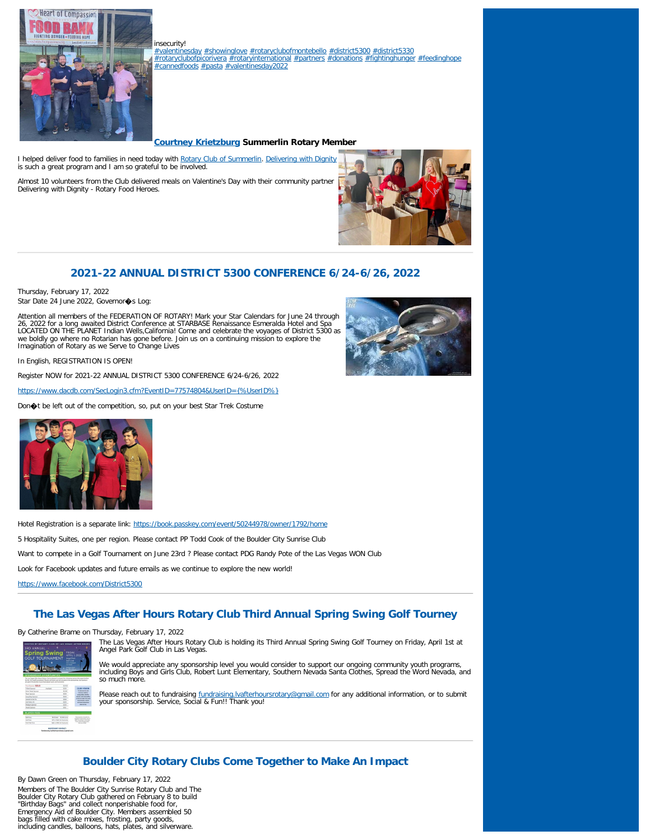

insecurity! [#valentinesday](https://www.facebook.com/hashtag/valentinesday?__eep__=6&__cft__[0]=AZXCFMDjqTKdXk7fPQ4seEYp82pTAdKC86-Y64wCHLmOVcobdjJMg7FLMo5UQIBLhi0QL9PedxCEj-tdV83hvS8414MdGWeRZJkyVC920Sxqmu9tGSgsyG2ra77CMUe3Nzk&__tn__=*NK-R) [#showinglove](https://www.facebook.com/hashtag/showinglove?__eep__=6&__cft__[0]=AZXCFMDjqTKdXk7fPQ4seEYp82pTAdKC86-Y64wCHLmOVcobdjJMg7FLMo5UQIBLhi0QL9PedxCEj-tdV83hvS8414MdGWeRZJkyVC920Sxqmu9tGSgsyG2ra77CMUe3Nzk&__tn__=*NK-R) [#rotaryclubofmontebello](https://www.facebook.com/hashtag/rotaryclubofmontebello?__eep__=6&__cft__[0]=AZXCFMDjqTKdXk7fPQ4seEYp82pTAdKC86-Y64wCHLmOVcobdjJMg7FLMo5UQIBLhi0QL9PedxCEj-tdV83hvS8414MdGWeRZJkyVC920Sxqmu9tGSgsyG2ra77CMUe3Nzk&__tn__=*NK-R) [#district5300](https://www.facebook.com/hashtag/district5300?__eep__=6&__cft__[0]=AZXCFMDjqTKdXk7fPQ4seEYp82pTAdKC86-Y64wCHLmOVcobdjJMg7FLMo5UQIBLhi0QL9PedxCEj-tdV83hvS8414MdGWeRZJkyVC920Sxqmu9tGSgsyG2ra77CMUe3Nzk&__tn__=*NK-R) [#district5330](https://www.facebook.com/hashtag/district5330?__eep__=6&__cft__[0]=AZXCFMDjqTKdXk7fPQ4seEYp82pTAdKC86-Y64wCHLmOVcobdjJMg7FLMo5UQIBLhi0QL9PedxCEj-tdV83hvS8414MdGWeRZJkyVC920Sxqmu9tGSgsyG2ra77CMUe3Nzk&__tn__=*NK-R) [#rotaryclubofpicorivera](https://www.facebook.com/hashtag/rotaryclubofpicorivera?__eep__=6&__cft__[0]=AZXCFMDjqTKdXk7fPQ4seEYp82pTAdKC86-Y64wCHLmOVcobdjJMg7FLMo5UQIBLhi0QL9PedxCEj-tdV83hvS8414MdGWeRZJkyVC920Sxqmu9tGSgsyG2ra77CMUe3Nzk&__tn__=*NK-R) [#rotaryinternational](https://www.facebook.com/hashtag/rotaryinternational?__eep__=6&__cft__[0]=AZXCFMDjqTKdXk7fPQ4seEYp82pTAdKC86-Y64wCHLmOVcobdjJMg7FLMo5UQIBLhi0QL9PedxCEj-tdV83hvS8414MdGWeRZJkyVC920Sxqmu9tGSgsyG2ra77CMUe3Nzk&__tn__=*NK-R) [#partners](https://www.facebook.com/hashtag/partners?__eep__=6&__cft__[0]=AZXCFMDjqTKdXk7fPQ4seEYp82pTAdKC86-Y64wCHLmOVcobdjJMg7FLMo5UQIBLhi0QL9PedxCEj-tdV83hvS8414MdGWeRZJkyVC920Sxqmu9tGSgsyG2ra77CMUe3Nzk&__tn__=*NK-R) [#donations](https://www.facebook.com/hashtag/donations?__eep__=6&__cft__[0]=AZXCFMDjqTKdXk7fPQ4seEYp82pTAdKC86-Y64wCHLmOVcobdjJMg7FLMo5UQIBLhi0QL9PedxCEj-tdV83hvS8414MdGWeRZJkyVC920Sxqmu9tGSgsyG2ra77CMUe3Nzk&__tn__=*NK-R) [#fightinghunger](https://www.facebook.com/hashtag/fightinghunger?__eep__=6&__cft__[0]=AZXCFMDjqTKdXk7fPQ4seEYp82pTAdKC86-Y64wCHLmOVcobdjJMg7FLMo5UQIBLhi0QL9PedxCEj-tdV83hvS8414MdGWeRZJkyVC920Sxqmu9tGSgsyG2ra77CMUe3Nzk&__tn__=*NK-R) [#feedinghope](https://www.facebook.com/hashtag/feedinghope?__eep__=6&__cft__[0]=AZXCFMDjqTKdXk7fPQ4seEYp82pTAdKC86-Y64wCHLmOVcobdjJMg7FLMo5UQIBLhi0QL9PedxCEj-tdV83hvS8414MdGWeRZJkyVC920Sxqmu9tGSgsyG2ra77CMUe3Nzk&__tn__=*NK-R) [#cannedfoods](https://www.facebook.com/hashtag/cannedfoods?__eep__=6&__cft__[0]=AZXCFMDjqTKdXk7fPQ4seEYp82pTAdKC86-Y64wCHLmOVcobdjJMg7FLMo5UQIBLhi0QL9PedxCEj-tdV83hvS8414MdGWeRZJkyVC920Sxqmu9tGSgsyG2ra77CMUe3Nzk&__tn__=*NK-R) [#pasta](https://www.facebook.com/hashtag/pasta?__eep__=6&__cft__[0]=AZXCFMDjqTKdXk7fPQ4seEYp82pTAdKC86-Y64wCHLmOVcobdjJMg7FLMo5UQIBLhi0QL9PedxCEj-tdV83hvS8414MdGWeRZJkyVC920Sxqmu9tGSgsyG2ra77CMUe3Nzk&__tn__=*NK-R) [#valentinesday2022](https://www.facebook.com/hashtag/valentinesday2022?__eep__=6&__cft__[0]=AZXCFMDjqTKdXk7fPQ4seEYp82pTAdKC86-Y64wCHLmOVcobdjJMg7FLMo5UQIBLhi0QL9PedxCEj-tdV83hvS8414MdGWeRZJkyVC920Sxqmu9tGSgsyG2ra77CMUe3Nzk&__tn__=*NK-R)

#### **[Courtney Krietzburg](https://www.facebook.com/courtneyklv?__cft__[0]=AZUqS_oRRSrGZzQ_pSS0I15bC_7hvHDIstMqd-9-o-ykmVuAJseMzPOsQXTLKaQHLrwgcz_tnzNPSMdhDXvmDC8fDsWaIdPCUkJqPEn4Tt8vCV8sZhgyisNbD5f0dEs3aCo&__tn__=-UC%2CP-R) Summerlin Rotary Member**

I helped deliver food to families in need today with [Rotary Club of Summerlin](https://www.facebook.com/RotarySummerlin/?__cft__[0]=AZUqS_oRRSrGZzQ_pSS0I15bC_7hvHDIstMqd-9-o-ykmVuAJseMzPOsQXTLKaQHLrwgcz_tnzNPSMdhDXvmDC8fDsWaIdPCUkJqPEn4Tt8vCV8sZhgyisNbD5f0dEs3aCo&__tn__=kK-R). [Delivering with Dignity](https://www.facebook.com/deliveringwithdignity/?__cft__[0]=AZUqS_oRRSrGZzQ_pSS0I15bC_7hvHDIstMqd-9-o-ykmVuAJseMzPOsQXTLKaQHLrwgcz_tnzNPSMdhDXvmDC8fDsWaIdPCUkJqPEn4Tt8vCV8sZhgyisNbD5f0dEs3aCo&__tn__=kK-R) is such a great program and I am so grateful to be involved.

Almost 10 volunteers from the Club delivered meals on Valentine's Day with their community partner Delivering with Dignity - Rotary Food Heroes.



# **2021-22 ANNUAL DISTRICT 5300 CONFERENCE 6/24-6/26, 2022**

Thursday, February 17, 2022 Star Date 24 June 2022, Governor $\textcolor{red}{\blacklozenge}$ s Log:

Attention all members of the FEDERATION OF ROTARY! Mark your Star Calendars for June 24 through<br>26, 2022 for a long awaited District Conference at STARBASE Renaissance Esmeralda Hotel and Spa<br>LOCATED ON THE PLANET Indian W we boldly go where no Rotarian has gone before. Join us on a continuing mission to explore the Imagination of Rotary as we Serve to Change Lives



In English, REGISTRATION IS OPEN!

Register NOW for 2021-22 ANNUAL DISTRICT 5300 CONFERENCE 6/24-6/26, 2022

<https://www.dacdb.com/SecLogin3.cfm?EventID=77574804&UserID={%UserID%}>

Don $\bigcirc$ t be left out of the competition, so, put on your best Star Trek Costume



Hotel Registration is a separate link: <https://book.passkey.com/event/50244978/owner/1792/home> 5 Hospitality Suites, one per region. Please contact PP Todd Cook of the Boulder City Sunrise Club Want to compete in a Golf Tournament on June 23rd ? Please contact PDG Randy Pote of the Las Vegas WON Club Look for Facebook updates and future emails as we continue to explore the new world! <https://www.facebook.com/District5300>

# **The Las Vegas After Hours Rotary Club Third Annual Spring Swing Golf Tourney**

By Catherine Brame on Thursday, February 17, 2022



The Las Vegas After Hours Rotary Club is holding its Third Annual Spring Swing Golf Tourney on Friday, April 1st at Angel Park Golf Club in Las Vegas.

We would appreciate any sponsorship level you would consider to support our ongoing community youth programs, including Boys and Girls Club, Robert Lunt Elementary, Southern Nevada Santa Clothes, Spread the Word Nevada, and so much more.

Please reach out to fundraising *fundraising.lvafterhoursrotary@gmail.com* for any additional information, or to submit your sponsorship. Service, Social & Fun!! Thank you!

# **Boulder City Rotary Clubs Come Together to Make An Impact**

By Dawn Green on Thursday, February 17, 2022 Members of The Boulder City Sunrise Rotary Club and The Boulder City Rotary Club gathered on February 8 to build "Birthday Bags" and collect nonperishable food for, Emergency Aid of Boulder City. Members assembled 50 bags filled with cake mixes, frosting, party goods, including candles, balloons, hats, plates, and silverware.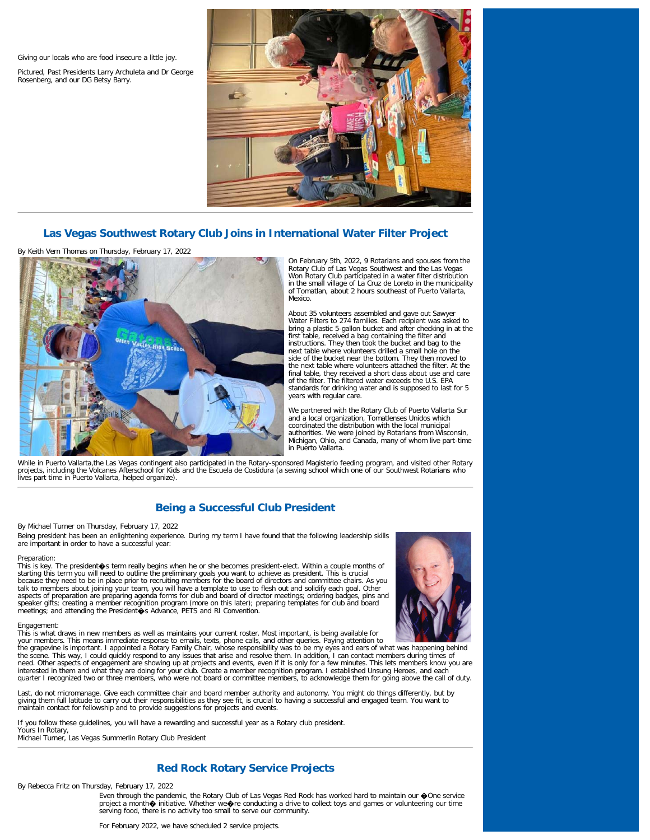Giving our locals who are food insecure a little joy.

Pictured, Past Presidents Larry Archuleta and Dr George Rosenberg, and our DG Betsy Barry.



# **Las Vegas Southwest Rotary Club Joins in International Water Filter Project**

By Keith Vern Thomas on Thursday, February 17, 2022



On February 5th, 2022, 9 Rotarians and spouses from the Rotary Club of Las Vegas Southwest and the Las Vegas Won Rotary Club participated in a water filter distribution in the small village of La Cruz de Loreto in the municipality of Tomatlan, about 2 hours southeast of Puerto Vallarta, Mexico.

About 35 volunteers assembled and gave out Sawyer Water Filters to 274 families. Each recipient was asked to bring a plastic 5-gallon bucket and after checking in at the first table, received a bag containing the filter and instructions. They then took the bucket and bag to the next table where volunteers drilled a small hole on the side of the bucket near the bottom. They then moved to the next table where volunteers attached the filter. At the final table, they received a short class about use and care of the filter. The filtered water exceeds the U.S. EPA standards for drinking water and is supposed to last for 5 years with regular care.

We partnered with the Rotary Club of Puerto Vallarta Sur and a local organization, Tomatlenses Unidos which coordinated the distribution with the local municipal authorities. We were joined by Rotarians from Wisconsin, Michigan, Ohio, and Canada, many of whom live part-time in Puerto Vallarta.

While in Puerto Vallarta,the Las Vegas contingent also participated in the Rotary-sponsored Magisterio feeding program, and visited other Rotary projects, including the Volcanes Afterschool for Kids and the Escuela de Costidura (a sewing school which one of our Southwest Rotarians who<br>lives part time in Puerto Vallarta, helped organize).

# **Being a Successful Club President**

By Michael Turner on Thursday, February 17, 2022

Being president has been an enlightening experience. During my term I have found that the following leadership skills are important in order to have a successful year:

#### Preparation:

This is key. The president�s term really begins when he or she becomes president-elect. Within a couple months of starting this term you will need to outline the preliminary goals you want to achieve as president. This is crucial<br>because they need to be in place prior to recruiting members for the board of directors and committee chai speaker gifts; creating a member recognition program (more on this later); preparing templates for club and board<br>meetings; and attending the President�s Advance, PETS and RI Convention.



Engagement:

This is what draws in new members as well as maintains your current roster. Most important, is being available for your members. This means immediate response to emails, texts, phone calls, and other queries. Paying attention to<br>the grapevine is important. I appointed a Rotary Family Chair, whose responsibility was to be my eyes and ea need. Other aspects of engagement are showing up at projects and events, even if it is only for a few minutes. This lets members know you are<br>interested in them and what they are doing for your club. Create a member recogn

quarter I recognized two or three members, who were not board or committee members, to acknowledge them for going above the call of duty. Last, do not micromanage. Give each committee chair and board member authority and autonomy. You might do things differently, but by giving them full latitude to carry out their responsibilities as they see fit, is crucial to having a successful and engaged team. You want to<br>maintain contact for fellowship and to provide suggestions for projects and eve

If you follow these guidelines, you will have a rewarding and successful year as a Rotary club president. Yours In Rotary, Michael Turner, Las Vegas Summerlin Rotary Club President

# **Red Rock Rotary Service Projects**

By Rebecca Fritz on Thursday, February 17, 2022

Even through the pandemic, the Rotary Club of Las Vegas Red Rock has worked hard to maintain our �One service<br>project a month� initiative. Whether we�re conducting a drive to collect toys and games or volunteering our tim serving food, there is no activity too small to serve our community.

For February 2022, we have scheduled 2 service projects.